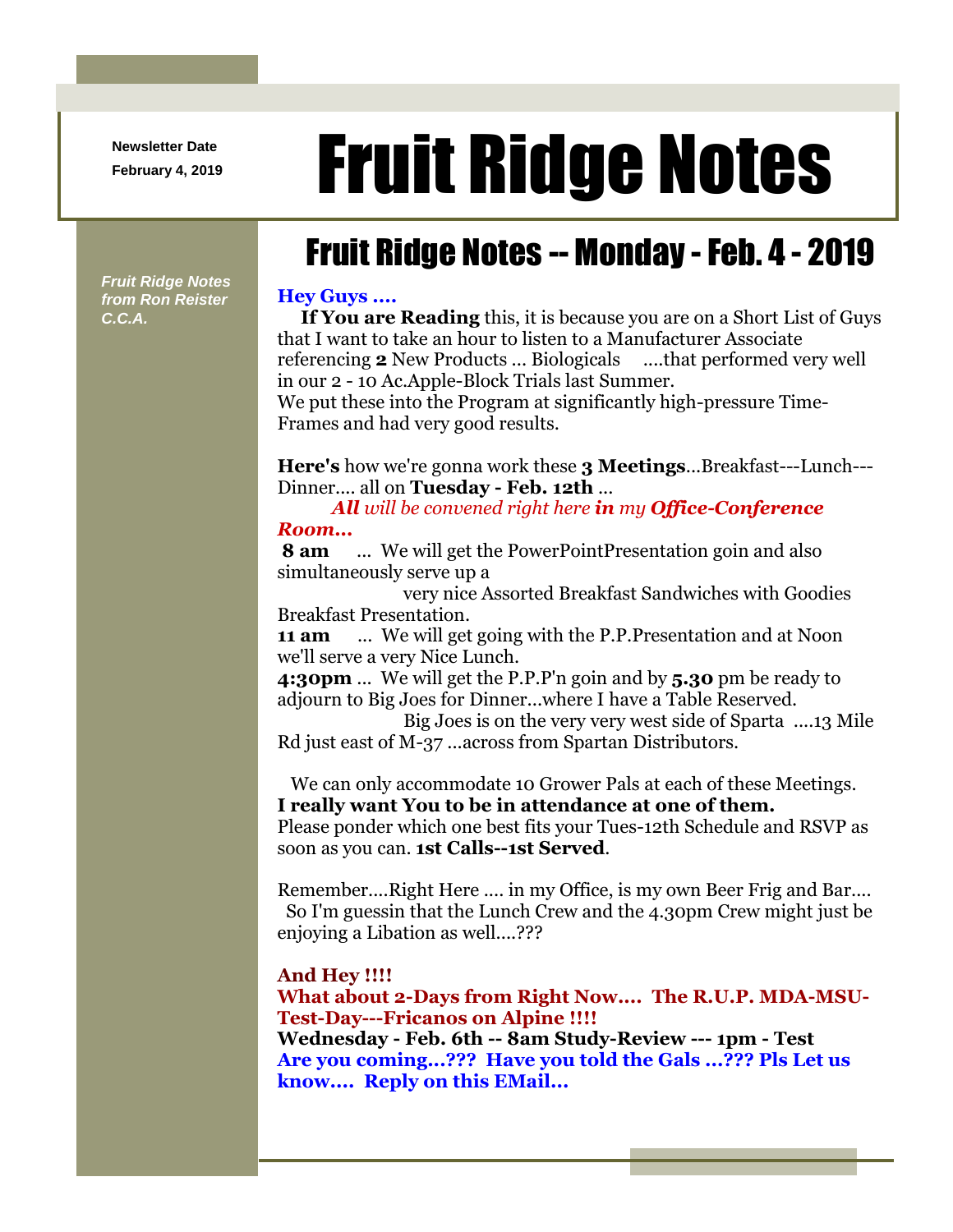**Newsletter Date**

# Newsletter Date **Fruit Ridge Notes**

## Fruit Ridge Notes -- Monday -Feb. 4 - 2019

*Fruit Ridge Notes from Ron Reister C.C.A.*

#### **Hey Guys ....**

**If You are Reading** this, it is because you are on a Short List of Guys that I want to take an hour to listen to a Manufacturer Associate referencing **2** New Products ... Biologicals ....that performed very well in our 2 - 10 Ac.Apple-Block Trials last Summer.

We put these into the Program at significantly high-pressure Time-Frames and had very good results.

**Here's** how we're gonna work these **3 Meetings**...Breakfast---Lunch--- Dinner.... all on **Tuesday - Feb. 12th** ...

*All will be convened right here in my Office-Conference Room...*

**8 am** ... We will get the PowerPointPresentation goin and also simultaneously serve up a

very nice Assorted Breakfast Sandwiches with Goodies Breakfast Presentation.

**11 am** ... We will get going with the P.P.Presentation and at Noon we'll serve a very Nice Lunch.

**4:30pm** ... We will get the P.P.P'n goin and by **5.30** pm be ready to adjourn to Big Joes for Dinner...where I have a Table Reserved.

Big Joes is on the very very west side of Sparta ....13 Mile Rd just east of M-37 ...across from Spartan Distributors.

We can only accommodate 10 Grower Pals at each of these Meetings. **I really want You to be in attendance at one of them.**

Please ponder which one best fits your Tues-12th Schedule and RSVP as soon as you can. **1st Calls--1st Served**.

Remember....Right Here .... in my Office, is my own Beer Frig and Bar.... So I'm guessin that the Lunch Crew and the 4.30pm Crew might just be enjoying a Libation as well....???

#### **And Hey !!!!**

**What about 2-Days from Right Now.... The R.U.P. MDA-MSU-Test-Day---Fricanos on Alpine !!!!**

**Wednesday - Feb. 6th -- 8am Study-Review --- 1pm - Test Are you coming...??? Have you told the Gals ...??? Pls Let us know.... Reply on this EMail...**